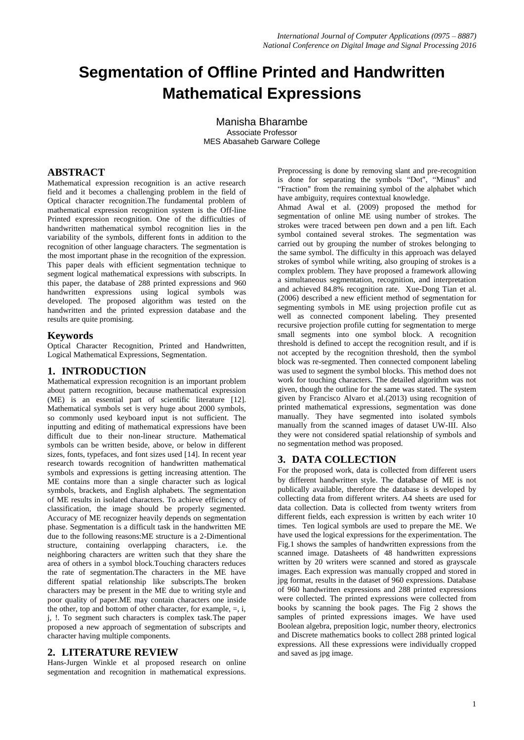# **Segmentation of Offline Printed and Handwritten Mathematical Expressions**

Manisha Bharambe Associate Professor MES Abasaheb Garware College

# **ABSTRACT**

Mathematical expression recognition is an active research field and it becomes a challenging problem in the field of Optical character recognition.The fundamental problem of mathematical expression recognition system is the Off-line Printed expression recognition. One of the difficulties of handwritten mathematical symbol recognition lies in the variability of the symbols, different fonts in addition to the recognition of other language characters. The segmentation is the most important phase in the recognition of the expression. This paper deals with efficient segmentation technique to segment logical mathematical expressions with subscripts. In this paper, the database of 288 printed expressions and 960 handwritten expressions using logical symbols was developed. The proposed algorithm was tested on the handwritten and the printed expression database and the results are quite promising.

# **Keywords**

Optical Character Recognition, Printed and Handwritten, Logical Mathematical Expressions, Segmentation.

# **1. INTRODUCTION**

Mathematical expression recognition is an important problem about pattern recognition, because mathematical expression (ME) is an essential part of scientific literature [12]. Mathematical symbols set is very huge about 2000 symbols, so commonly used keyboard input is not sufficient. The inputting and editing of mathematical expressions have been difficult due to their non-linear structure. Mathematical symbols can be written beside, above, or below in different sizes, fonts, typefaces, and font sizes used [14]. In recent year research towards recognition of handwritten mathematical symbols and expressions is getting increasing attention. The ME contains more than a single character such as logical symbols, brackets, and English alphabets. The segmentation of ME results in isolated characters. To achieve efficiency of classification, the image should be properly segmented. Accuracy of ME recognizer heavily depends on segmentation phase. Segmentation is a difficult task in the handwritten ME due to the following reasons:ME structure is a 2-Dimentional structure, containing overlapping characters, i.e. the neighboring characters are written such that they share the area of others in a symbol block.Touching characters reduces the rate of segmentation.The characters in the ME have different spatial relationship like subscripts.The broken characters may be present in the ME due to writing style and poor quality of paper.ME may contain characters one inside the other, top and bottom of other character, for example, =, i, j, !. To segment such characters is complex task.The paper proposed a new approach of segmentation of subscripts and character having multiple components.

# **2. LITERATURE REVIEW**

Hans-Jurgen Winkle et al proposed research on online segmentation and recognition in mathematical expressions.

Preprocessing is done by removing slant and pre-recognition is done for separating the symbols "Dot", "Minus" and "Fraction" from the remaining symbol of the alphabet which have ambiguity, requires contextual knowledge.

Ahmad Awal et al. (2009) proposed the method for segmentation of online ME using number of strokes. The strokes were traced between pen down and a pen lift. Each symbol contained several strokes. The segmentation was carried out by grouping the number of strokes belonging to the same symbol. The difficulty in this approach was delayed strokes of symbol while writing, also grouping of strokes is a complex problem. They have proposed a framework allowing a simultaneous segmentation, recognition, and interpretation and achieved 84.8% recognition rate. Xue-Dong Tian et al. (2006) described a new efficient method of segmentation for segmenting symbols in ME using projection profile cut as well as connected component labeling. They presented recursive projection profile cutting for segmentation to merge small segments into one symbol block. A recognition threshold is defined to accept the recognition result, and if is not accepted by the recognition threshold, then the symbol block was re-segmented. Then connected component labeling was used to segment the symbol blocks. This method does not work for touching characters. The detailed algorithm was not given, though the outline for the same was stated. The system given by Francisco Alvaro et al.(2013) using recognition of printed mathematical expressions, segmentation was done manually. They have segmented into isolated symbols manually from the scanned images of dataset UW-III. Also they were not considered spatial relationship of symbols and no segmentation method was proposed.

# **3. DATA COLLECTION**

For the proposed work, data is collected from different users by different handwritten style. The database of ME is not publically available, therefore the database is developed by collecting data from different writers. A4 sheets are used for data collection. Data is collected from twenty writers from different fields, each expression is written by each writer 10 times. Ten logical symbols are used to prepare the ME. We have used the logical expressions for the experimentation. The Fig.1 shows the samples of handwritten expressions from the scanned image. Datasheets of 48 handwritten expressions written by 20 writers were scanned and stored as grayscale images. Each expression was manually cropped and stored in jpg format, results in the dataset of 960 expressions. Database of 960 handwritten expressions and 288 printed expressions were collected. The printed expressions were collected from books by scanning the book pages. The Fig 2 shows the samples of printed expressions images. We have used Boolean algebra, preposition logic, number theory, electronics and Discrete mathematics books to collect 288 printed logical expressions. All these expressions were individually cropped and saved as jpg image.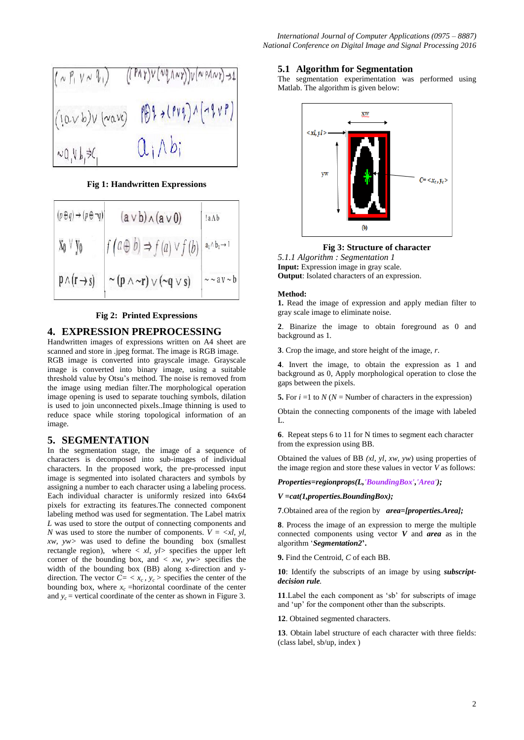

**Fig 1: Handwritten Expressions**

| $(p \oplus q) \rightarrow (p \oplus \neg q)$ | $(a \vee b) \wedge (a \vee 0)$                | !a A b                         |
|----------------------------------------------|-----------------------------------------------|--------------------------------|
| Xo ∨ yo                                      | $f(a \oplus b) \Rightarrow f(a) \vee f(b)$    | $a_1 \wedge b_1 \rightarrow 1$ |
| $p \wedge (r \rightarrow s)$                 | $\sim (p \wedge \sim r) \vee (\sim q \vee s)$ | $\sim \sim$ av $\sim b$        |

#### **Fig 2: Printed Expressions**

# **4. EXPRESSION PREPROCESSING**

Handwritten images of expressions written on A4 sheet are scanned and store in .jpeg format. The image is RGB image. RGB image is converted into grayscale image. Grayscale image is converted into binary image, using a suitable threshold value by Otsu's method. The noise is removed from the image using median filter.The morphological operation image opening is used to separate touching symbols, dilation is used to join unconnected pixels..Image thinning is used to reduce space while storing topological information of an image.

#### **5. SEGMENTATION**

In the segmentation stage, the image of a sequence of characters is decomposed into sub-images of individual characters. In the proposed work, the pre-processed input image is segmented into isolated characters and symbols by assigning a number to each character using a labeling process. Each individual character is uniformly resized into 64x64 pixels for extracting its features.The connected component labeling method was used for segmentation. The Label matrix *L* was used to store the output of connecting components and *N* was used to store the number of components.  $V = \langle x l, y l \rangle$ *xw, yw>* was used to define the bounding box (smallest rectangle region), where *< xl, yl>* specifies the upper left corner of the bounding box, and *< xw, yw>* specifies the width of the bounding box (BB) along x-direction and ydirection. The vector  $C = \langle x_c, y_c \rangle$  specifies the center of the bounding box, where  $x_c$  =horizontal coordinate of the center and  $y_c$  = vertical coordinate of the center as shown in Figure 3.

#### **5.1 Algorithm for Segmentation**

The segmentation experimentation was performed using Matlab. The algorithm is given below:



**Fig 3: Structure of character**

*5.1.1 Algorithm : Segmentation 1* **Input:** Expression image in gray scale. **Output**: Isolated characters of an expression.

#### **Method:**

**1.** Read the image of expression and apply median filter to gray scale image to eliminate noise.

**2**. Binarize the image to obtain foreground as 0 and background as 1.

**3**. Crop the image, and store height of the image, *r*.

**4**. Invert the image, to obtain the expression as 1 and background as 0, Apply morphological operation to close the gaps between the pixels.

**5.** For  $i = 1$  to  $N (N =$  Number of characters in the expression)

Obtain the connecting components of the image with labeled  $\mathbf{L}$ 

**6**. Repeat steps 6 to 11 for N times to segment each character from the expression using BB.

Obtained the values of BB *(xl, yl, xw, yw*) using properties of the image region and store these values in vector *V* as follows:

*Properties=regionprops(L,'BoundingBox','Area');*

#### *V =cat(1,properties.BoundingBox);*

**7**.Obtained area of the region by *area=[properties.Area];*

**8**. Process the image of an expression to merge the multiple connected components using vector *V* and *area* as in the algorithm '*Segmentation2***'.**

**9.** Find the Centroid, *C* of each BB.

**10**: Identify the subscripts of an image by using *subscriptdecision rule.*

**11**.Label the each component as 'sb' for subscripts of image and 'up' for the component other than the subscripts.

**12**. Obtained segmented characters.

**13**. Obtain label structure of each character with three fields: (class label, sb/up, index )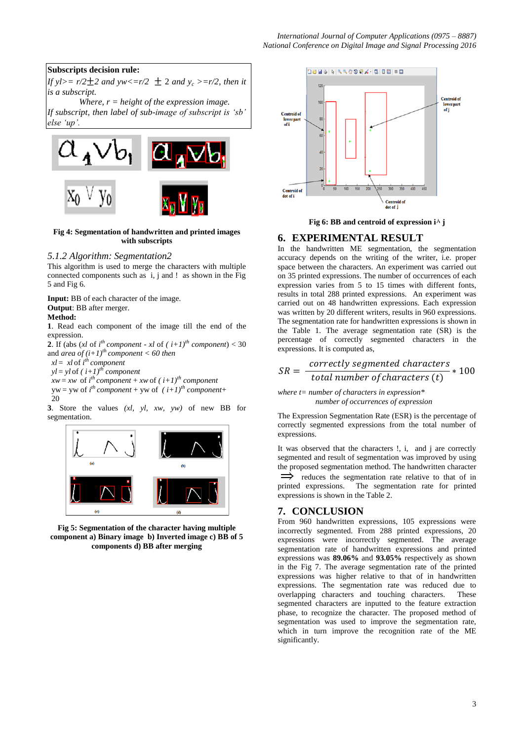## **Subscripts decision rule:**

*If yl>= r/2*  $\pm$  2 *and yw<=r/2*  $\pm$  2 *and y<sub>c</sub> >=r/2, then it is a subscript.*

*Where, r = height of the expression image. If subscript, then label of sub-image of subscript is 'sb' else 'up'.*



#### **Fig 4: Segmentation of handwritten and printed images with subscripts**

## *5.1.2 Algorithm: Segmentation2*

This algorithm is used to merge the characters with multiple connected components such as i, j and ! as shown in the Fig 5 and Fig 6.

**Input:** BB of each character of the image. **Output**: BB after merger. **Method:**

**1**. Read each component of the image till the end of the expression.

**2.** If (abs (*xl* of  $i^{th}$  *component* - *xl* of  $(i+1)^{th}$  *component*) < 30 and *area of*  $(i+1)$ <sup>th</sup> component < 60 then  $x = x \cdot l$  of  $i^{th}$  *component* 

 $vl = vI$  of  $(i+1)$ <sup>th</sup> *component* 

 $xw = xw$  of  $i^{th}$  *component* + *xw* of  $(i+1)^{th}$  *component* 

 $yw = yw$  of  $i^{th}$  *component* + yw of  $(i+1)^{th}$  *component*+  $20$ 

**3**. Store the values *(xl, yl, xw, yw)* of new BB for segmentation.



**Fig 5: Segmentation of the character having multiple component a) Binary image b) Inverted image c) BB of 5 components d) BB after merging**



**Fig 6: BB and centroid of expression i**۸ **j**

# **6. EXPERIMENTAL RESULT**

In the handwritten ME segmentation, the segmentation accuracy depends on the writing of the writer, i.e. proper space between the characters. An experiment was carried out on 35 printed expressions. The number of occurrences of each expression varies from 5 to 15 times with different fonts, results in total 288 printed expressions. An experiment was carried out on 48 handwritten expressions. Each expression was written by 20 different writers, results in 960 expressions. The segmentation rate for handwritten expressions is shown in the Table 1. The average segmentation rate (SR) is the percentage of correctly segmented characters in the expressions. It is computed as,

$$
SR = \frac{correctly\ segmented\ characters}{total\ number\ of\ characters\ (t)} * 100
$$

*where t= number of characters in expression\* number of occurrences of expression*

The Expression Segmentation Rate (ESR) is the percentage of correctly segmented expressions from the total number of expressions.

It was observed that the characters !, i, and j are correctly segmented and result of segmentation was improved by using the proposed segmentation method. The handwritten character  $\implies$  reduces the segmentation rate relative to that of in printed expressions. The segmentation rate for printed expressions is shown in the Table 2.

# **7. CONCLUSION**

From 960 handwritten expressions, 105 expressions were incorrectly segmented. From 288 printed expressions, 20 expressions were incorrectly segmented. The average segmentation rate of handwritten expressions and printed expressions was **89.06%** and **93.05%** respectively as shown in the Fig 7. The average segmentation rate of the printed expressions was higher relative to that of in handwritten expressions. The segmentation rate was reduced due to overlapping characters and touching characters. These segmented characters are inputted to the feature extraction phase, to recognize the character. The proposed method of segmentation was used to improve the segmentation rate, which in turn improve the recognition rate of the ME significantly.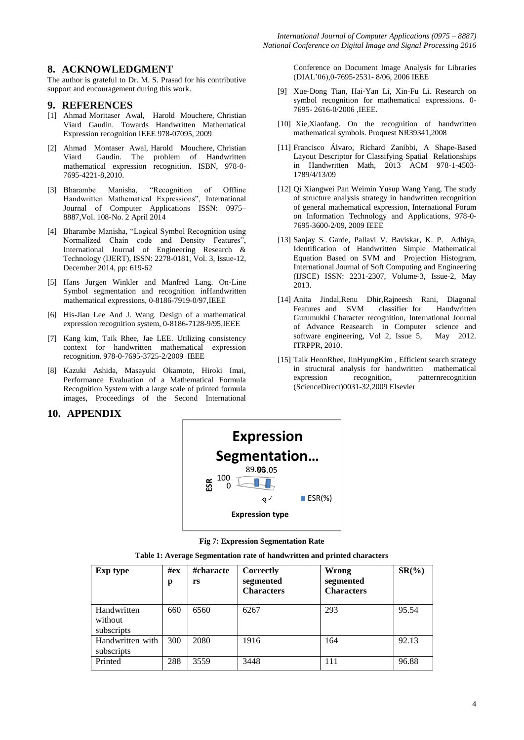# **8. ACKNOWLEDGMENT**

The author is grateful to Dr. M. S. Prasad for his contributive support and encouragement during this work.

#### **9. REFERENCES**

- [1] Ahmad Moritaser Awal, Harold Mouchere, Christian Viard Gaudin. Towards Handwritten Mathematical Expression recognition IEEE 978-07095, 2009
- [2] Ahmad Montaser Awal, Harold Mouchere, Christian Viard Gaudin. The problem of Handwritten mathematical expression recognition. ISBN, 978-0- 7695-4221-8,2010.
- [3] Bharambe Manisha, "Recognition of Offline Handwritten Mathematical Expressions", International Journal of Computer Applications ISSN: 0975– 8887,Vol. 108-No. 2 April 2014
- [4] Bharambe Manisha, "Logical Symbol Recognition using Normalized Chain code and Density Features", International Journal of Engineering Research & Technology (IJERT), ISSN: 2278-0181, Vol. 3, Issue-12, December 2014, pp: 619-62
- [5] Hans Jurgen Winkler and Manfred Lang. On-Line Symbol segmentation and recognition inHandwritten mathematical expressions, 0-8186-7919-0/97,IEEE
- [6] His-Jian Lee And J. Wang. Design of a mathematical expression recognition system, 0-8186-7128-9/95,IEEE
- [7] Kang kim, Taik Rhee, Jae LEE. Utilizing consistency context for handwritten mathematical expression recognition. 978-0-7695-3725-2/2009 IEEE
- [8] Kazuki Ashida, Masayuki Okamoto, Hiroki Imai, Performance Evaluation of a Mathematical Formula Recognition System with a large scale of printed formula images, Proceedings of the Second International

#### Conference on Document Image Analysis for Libraries (DIAL'06),0-7695-2531- 8/06, 2006 IEEE

- [9] Xue-Dong Tian, Hai-Yan Li, Xin-Fu Li. Research on symbol recognition for mathematical expressions. 0- 7695- 2616-0/2006 ,IEEE.
- [10] Xie,Xiaofang. On the recognition of handwritten mathematical symbols. Proquest NR39341,2008
- [11] Francisco Álvaro, Richard Zanibbi, A Shape-Based Layout Descriptor for Classifying Spatial Relationships in Handwritten Math, 2013 ACM 978-1-4503- 1789/4/13/09
- [12] Qi Xiangwei Pan Weimin Yusup Wang Yang, The study of structure analysis strategy in handwritten recognition of general mathematical expression, International Forum on Information Technology and Applications, 978-0- 7695-3600-2/09, 2009 IEEE
- [13] Sanjay S. Garde, Pallavi V. Baviskar, K. P. Adhiya, Identification of Handwritten Simple Mathematical Equation Based on SVM and Projection Histogram, International Journal of Soft Computing and Engineering (IJSCE) ISSN: 2231-2307, Volume-3, Issue-2, May 2013.
- [14] Anita Jindal,Renu Dhir,Rajneesh Rani, Diagonal Features and SVM classifier for Handwritten Gurumukhi Character recognition, International Journal of Advance Reasearch in Computer science and software engineering, Vol 2, Issue 5, May 2012. ITRPPR, 2010.
- [15] Taik HeonRhee, JinHyungKim , Efficient search strategy in structural analysis for handwritten mathematical expression recognition, patternrecognition (ScienceDirect)0031-32,2009 Elsevier

# **10. APPENDIX**



**Fig 7: Expression Segmentation Rate**

|  |  |  | Table 1: Average Segmentation rate of handwritten and printed characters |
|--|--|--|--------------------------------------------------------------------------|
|--|--|--|--------------------------------------------------------------------------|

| Exp type                             | $\#$ ex<br>p | #characte<br>rs | Correctly<br>segmented<br><b>Characters</b> | Wrong<br>segmented<br><b>Characters</b> | $SR(\%)$ |
|--------------------------------------|--------------|-----------------|---------------------------------------------|-----------------------------------------|----------|
| Handwritten<br>without<br>subscripts | 660          | 6560            | 6267                                        | 293                                     | 95.54    |
| Handwritten with<br>subscripts       | 300          | 2080            | 1916                                        | 164                                     | 92.13    |
| Printed                              | 288          | 3559            | 3448                                        | 111                                     | 96.88    |